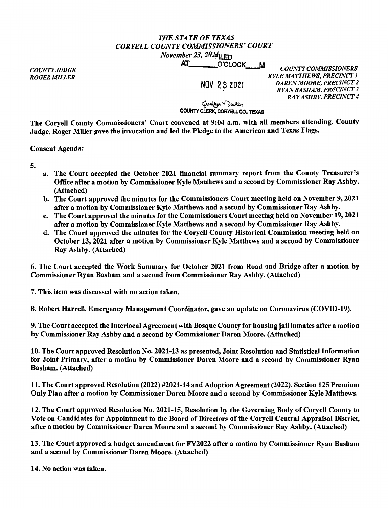## *THE STATE OF TEXAS CORYELLCOUNTYCOMMISSIONERS'COURT*  November 23,  $202 \mathbf{d}$ ll ED

AT\_\_\_\_\_\_\_\_\_O'CLOCK\_\_\_M

*COUNTY JUDGE ROGER MILLER* 

NOV 2 3 2021

*COUNTY COMMISSIONERS KYLE MATTHEWS, PRECINCT 1 DAREN MOORE, PRECINCT 2 RYAN BASHAM, PRECINCT 3 RAY ASHBY, PRECINCT 4* 

**County Clerk, CORYELL CO., TEXAS**<br>**-**<br>COUNTY CLERK, CORYELL CO., TEXAS

The Coryell County Commissioners' Court convened at 9:04 a.m. with all members attending. County Judge, Roger Miller gave the invocation and led the Pledge to the American and Texas Flags.

Consent Agenda:

5.

- a. The Court accepted the October 2021 financial summary report from the County Treasurer's Office after a motion by Commissioner Kyle Matthews and a second by Commissioner Ray Ashby. (Attached)
- b. The Court approved the minutes for the Commissioners Court meeting held on November 9, 2021 after a motion by Commissioner Kyle Matthews and a second by Commissioner Ray Ashby.
- c. The Court approved the minutes for the Commissioners Court meeting held on November 19, 2021 after a motion by Commissioner Kyle Matthews and a second by Commissioner Ray Ashby.
- d. The Court approved the minutes for the Coryell County Historical Commission meeting held on October 13, 2021 after a motion by Commissioner Kyle Matthews and a second by Commissioner Ray Ashby. (Attached)

6. The Court accepted the Work Summary for October 2021 from Road and Bridge after a motion by Commissioner Ryan Basham and a second from Commissioner Ray Ashby. (Attached)

7. This item was discussed with no action taken.

8. Robert Harrell, Emergency Management Coordinator, gave an update on Coronavirus (COVID-19).

9. The Court accepted the Interlocal Agreement with Bosque County for housing jail inmates after a motion by Commissioner Ray Ashby and a second by Commissioner Daren Moore. (Attached)

10. The Court approved Resolution No. 2021-13 as presented, Joint Resolution and Statistical Information for Joint Primary, after a motion by Commissioner Daren Moore and a second by Commissioner Ryan Basham. (Attached)

11. The Court approved Resolution (2022) #2021-14 and Adoption Agreement (2022), Section 125 Premium Only Plan after a motion by Commissioner Daren Moore and a second by Commissioner Kyle Matthews.

12. The Court approved Resolution No. 2021-15, Resolution by the Governing Body of Coryell County to Vote on Candidates for Appointment to the Board of Directors of the Coryell Central Appraisal District, after a motion by Commissioner Daren Moore and a second by Commissioner Ray Ashby. (Attached)

13. The Court approved a budget amendment for FY2022 after a motion by Commissioner Ryan Basham and a second by Commissioner Daren Moore. (Attached)

14. No action was taken.